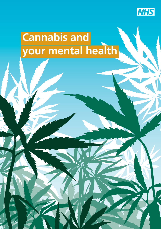

### **Cannabis and your mental health**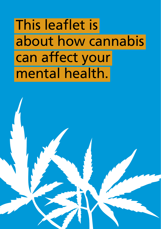This leaflet is about how cannabis can affect your mental health.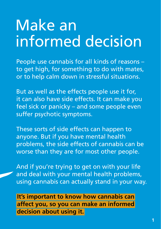### Make an informed decision

People use cannabis for all kinds of reasons – to get high, for something to do with mates, or to help calm down in stressful situations.

But as well as the effects people use it for, it can also have side effects. It can make you feel sick or panicky – and some people even suffer psychotic symptoms.

These sorts of side effects can happen to anyone. But if you have mental health problems, the side effects of cannabis can be worse than they are for most other people.

And if you're trying to get on with your life and deal with your mental health problems, using cannabis can actually stand in your way.

 **It's important to know how cannabis can affect you, so you can make an informed decision about using it.**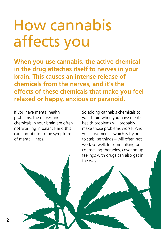### How cannabis affects you

**When you use cannabis, the active chemical in the drug attaches itself to nerves in your brain. This causes an intense release of chemicals from the nerves, and it's the effects of these chemicals that make you feel relaxed or happy, anxious or paranoid.**

If you have mental health problems, the nerves and chemicals in your brain are often not working in balance and this can contribute to the symptoms of mental illness.

So adding cannabis chemicals to your brain when you have mental health problems will probably make those problems worse. And your treatment – which is trying to stabilise things – will often not work so well. In some talking or counselling therapies, covering up feelings with drugs can also get in the way.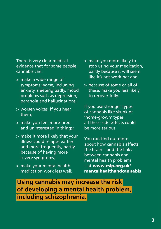There is very clear medical evidence that for some people cannabis can:

- > make a wide range of symptoms worse, including anxiety, sleeping badly, mood problems such as depression, paranoia and hallucinations;
- > worsen voices, if you hear them;
- > make you feel more tired and uninterested in things;
- > make it more likely that your illness could relapse earlier and more frequently, partly because of having more severe symptoms;
- > make your mental health medication work less well;
- > make you more likely to stop using your medication, partly because it will seem like it's not working; and
- > because of some or all of these, make you less likely to recover fully.

If you use stronger types of cannabis like skunk or 'home-grown' types, all these side effects could be more serious.

You can find out more about how cannabis affects the brain – and the links between cannabis and mental health problems – at **www.csip.org.uk/ mentalhealthandcannabis**

 **Using cannabis may increase the risk of developing a mental health problem, including schizophrenia.**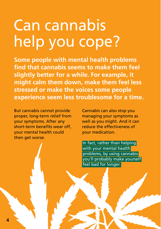### Can cannabis help you cope?

**Some people with mental health problems fi nd that cannabis seems to make them feel slightly better for a while. For example, it might calm them down, make them feel less stressed or make the voices some people experience seem less troublesome for a time.**

But cannabis cannot provide proper, long-term relief from your symptoms. After any short-term benefits wear off. your mental health could then get worse.

Cannabis can also stop you managing your symptoms as well as you might. And it can reduce the effectiveness of your medication.

 In fact, rather than helping with your mental health problems, by using cannabis you'll probably make yourself feel bad for longer.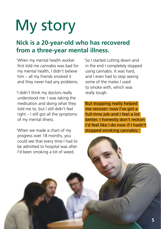# My story

#### **Nick is a 20-year-old who has recovered from a three-year mental illness.**

'When my mental health worker first told me cannabis was bad for my mental health, I didn't believe him – all my friends smoked it and they never had any problems.

'I didn't think my doctors really understood me: I was taking the medication and doing what they told me to, but I still didn't feel right – I still got all the symptoms of my mental illness.

'When we made a chart of my progress over 18 months, you could see that every time I had to be admitted to hospital was after I'd been smoking a lot of weed.

'So I started cutting down and in the end I completely stopped using cannabis. It was hard, and I even had to stop seeing some of the mates I used to smoke with, which was really tough.

'But stopping really helped me recover: now I've got a full-time job and I feel a lot better. I honestly don't reckon I'd feel like I do now if I hadn't stopped smoking cannabis.'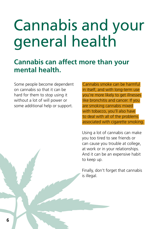## Cannabis and your general health

### **Cannabis can affect more than your mental health.**

Some people become dependent on cannabis so that it can be hard for them to stop using it without a lot of will power or some additional help or support.

 Cannabis smoke can be harmful in itself, and with long-term use you're more likely to get illnesses like bronchitis and cancer. If you are smoking cannabis mixed with tobacco, you'll also have to deal with all of the problems associated with cigarette smoking.

Using a lot of cannabis can make you too tired to see friends or can cause you trouble at college, at work or in your relationships. And it can be an expensive habit to keep up.

Finally, don't forget that cannabis is illegal.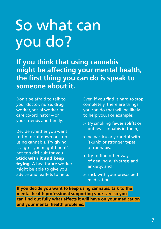### So what can you do?

**If you think that using cannabis might be affecting your mental health, the fi rst thing you can do is speak to someone about it.**

Don't be afraid to talk to your doctor, nurse, drug worker, social worker or care co-ordinator – or your friends and family.

Decide whether you want to try to cut down or stop using cannabis. Try giving it a go  $-$  you might find it's not too difficult for you. **Stick with it and keep trying**. A healthcare worker might be able to give you advice and leaflets to help.

Even if you find it hard to stop completely, there are things you can do that will be likely to help you. For example:

- > try smoking fewer spliffs or put less cannabis in them;
- > be particularly careful with 'skunk' or stronger types of cannabis;
- > try to find other ways of dealing with stress and anxiety; and
- > stick with your prescribed medication.

**If you decide you want to keep using cannabis, talk to the mental health professional supporting your care so you can find out fully what effects it will have on your medication and your mental health problems.**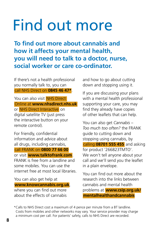### Find out more

**To find out more about cannabis and how it affects your mental health, you will need to talk to a doctor, nurse, social worker or care co-ordinator.**

If there's not a health professional you normally talk to, you can call NHS Direct on **0845 46 47\***.

You can also visit NHS Direct Online at **www.nhsdirect.nhs.uk**  or NHS Direct Interactive on digital satellite TV (just press the interactive button on your remote control).

For friendly, confidential information and advice about all drugs, including cannabis, call FRANK on **0800 77 66 00** or visit **www.talktofrank.com** . FRANK is free from a landline and some mobiles. You can use the internet free at most local libraries.

You can also get help at **www.knowcannabis.org.uk**, where you can find out more about the effects of cannabis

and how to go about cutting down and stopping using it.

If you are discussing your plans with a mental health professional supporting your care, you may find they already have copies of other leaflets that can help.

You can also get *Cannabis – Too much too often?* the FRANK guide to cutting down and stopping using cannabis, by calling **08701 555 455** and asking for product '266823TMTO'. We won't tell anyone about your call and we'll send you the leaflet in a plain envelope.

You can find out more about the research into the links between cannabis and mental health problems at **www.csip.org.uk/ mentalhealthandcannabis**

\* Calls to NHS Direct cost a maximum of 4 pence per minute from a BT landline. Costs from mobiles and other networks may vary. Your service provider may charge a minimum cost per call. For patients' safety, calls to NHS Direct are recorded.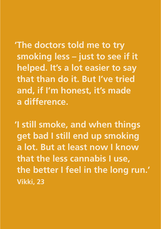**' The doctors told me to try smoking less – just to see if it helped. It's a lot easier to say that than do it. But I've tried and, if I'm honest, it's made a difference.**

**'I still smoke, and when things get bad I still end up smoking a lot. But at least now I know that the less cannabis I use, the better I feel in the long run.' Vikki, 23**